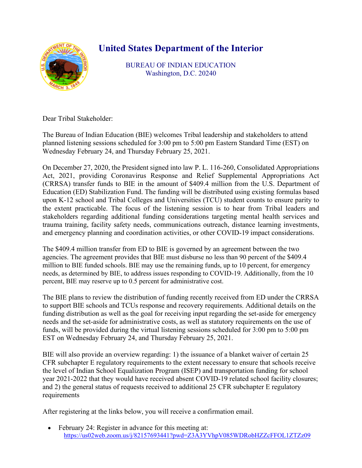## **United States Department of the Interior**



BUREAU OF INDIAN EDUCATION Washington, D.C. 20240

Dear Tribal Stakeholder:

The Bureau of Indian Education (BIE) welcomes Tribal leadership and stakeholders to attend planned listening sessions scheduled for 3:00 pm to 5:00 pm Eastern Standard Time (EST) on Wednesday February 24, and Thursday February 25, 2021.

On December 27, 2020, the President signed into law P. L. 116-260, Consolidated Appropriations Act, 2021, providing Coronavirus Response and Relief Supplemental Appropriations Act (CRRSA) transfer funds to BIE in the amount of \$409.4 million from the U.S. Department of Education (ED) Stabilization Fund. The funding will be distributed using existing formulas based upon K-12 school and Tribal Colleges and Universities (TCU) student counts to ensure parity to the extent practicable. The focus of the listening session is to hear from Tribal leaders and stakeholders regarding additional funding considerations targeting mental health services and trauma training, facility safety needs, communications outreach, distance learning investments, and emergency planning and coordination activities, or other COVID-19 impact considerations.

The \$409.4 million transfer from ED to BIE is governed by an agreement between the two agencies. The agreement provides that BIE must disburse no less than 90 percent of the \$409.4 million to BIE funded schools. BIE may use the remaining funds, up to 10 percent, for emergency needs, as determined by BIE, to address issues responding to COVID-19. Additionally, from the 10 percent, BIE may reserve up to 0.5 percent for administrative cost.

The BIE plans to review the distribution of funding recently received from ED under the CRRSA to support BIE schools and TCUs response and recovery requirements. Additional details on the funding distribution as well as the goal for receiving input regarding the set-aside for emergency needs and the set-aside for administrative costs, as well as statutory requirements on the use of funds, will be provided during the virtual listening sessions scheduled for 3:00 pm to 5:00 pm EST on Wednesday February 24, and Thursday February 25, 2021.

BIE will also provide an overview regarding: 1) the issuance of a blanket waiver of certain 25 CFR subchapter E regulatory requirements to the extent necessary to ensure that schools receive the level of Indian School Equalization Program (ISEP) and transportation funding for school year 2021-2022 that they would have received absent COVID-19 related school facility closures; and 2) the general status of requests received to additional 25 CFR subchapter E regulatory requirements

After registering at the links below, you will receive a confirmation email.

• February 24: Register in advance for this meeting at: <https://us02web.zoom.us/j/82157693441?pwd=Z3A3YVhpV085WDRobHZZcFFOL1ZTZz09>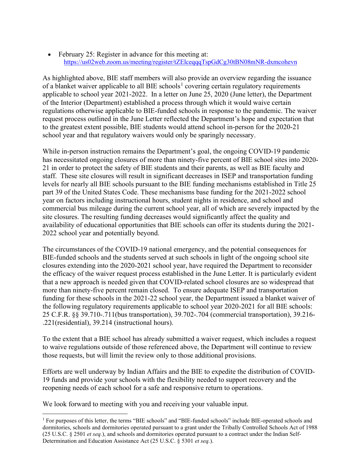February 25: Register in advance for this meeting at: <https://us02web.zoom.us/meeting/register/tZElceqqqTspGdCg30tBN08mNR-dxmcohevn>

As highlighted above, BIE staff members will also provide an overview regarding the issuance of a blanket waiver applicable to all BIE schools<sup>[1](#page-1-0)</sup> covering certain regulatory requirements applicable to school year 2021-2022. In a letter on June 25, 2020 (June letter), the Department of the Interior (Department) established a process through which it would waive certain regulations otherwise applicable to BIE-funded schools in response to the pandemic. The waiver request process outlined in the June Letter reflected the Department's hope and expectation that to the greatest extent possible, BIE students would attend school in-person for the 2020-21 school year and that regulatory waivers would only be sparingly necessary.

While in-person instruction remains the Department's goal, the ongoing COVID-19 pandemic has necessitated ongoing closures of more than ninety-five percent of BIE school sites into 2020- 21 in order to protect the safety of BIE students and their parents, as well as BIE faculty and staff. These site closures will result in significant decreases in ISEP and transportation funding levels for nearly all BIE schools pursuant to the BIE funding mechanisms established in Title 25 part 39 of the United States Code. These mechanisms base funding for the 2021-2022 school year on factors including instructional hours, student nights in residence, and school and commercial bus mileage during the current school year, all of which are severely impacted by the site closures. The resulting funding decreases would significantly affect the quality and availability of educational opportunities that BIE schools can offer its students during the 2021- 2022 school year and potentially beyond.

The circumstances of the COVID-19 national emergency, and the potential consequences for BIE-funded schools and the students served at such schools in light of the ongoing school site closures extending into the 2020-2021 school year, have required the Department to reconsider the efficacy of the waiver request process established in the June Letter. It is particularly evident that a new approach is needed given that COVID-related school closures are so widespread that more than ninety-five percent remain closed. To ensure adequate ISEP and transportation funding for these schools in the 2021-22 school year, the Department issued a blanket waiver of the following regulatory requirements applicable to school year 2020-2021 for all BIE schools: 25 C.F.R. §§ 39.710-.711(bus transportation), 39.702-.704 (commercial transportation), 39.216- .221(residential), 39.214 (instructional hours).

To the extent that a BIE school has already submitted a waiver request, which includes a request to waive regulations outside of those referenced above, the Department will continue to review those requests, but will limit the review only to those additional provisions.

Efforts are well underway by Indian Affairs and the BIE to expedite the distribution of COVID-19 funds and provide your schools with the flexibility needed to support recovery and the reopening needs of each school for a safe and responsive return to operations.

We look forward to meeting with you and receiving your valuable input.

<span id="page-1-0"></span><sup>&</sup>lt;sup>1</sup> For purposes of this letter, the terms "BIE schools" and "BIE-funded schools" include BIE-operated schools and dormitories, schools and dormitories operated pursuant to a grant under the Tribally Controlled Schools Act of 1988 (25 U.S.C. § 2501 *et seq.*), and schools and dormitories operated pursuant to a contract under the Indian Self-Determination and Education Assistance Act (25 U.S.C. § 5301 *et seq.*).